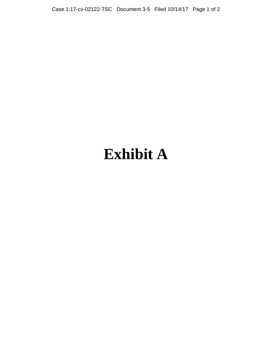Case 1:17-cv-02122-TSC Document 3-5 Filed 10/14/17 Page 1 of 2

## **Exhibit A**